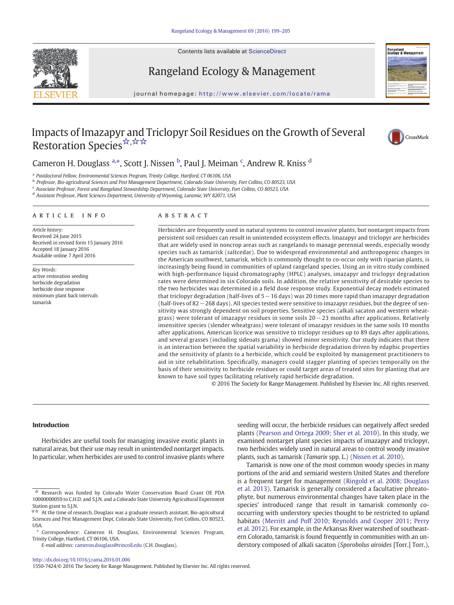Contents lists available at ScienceDirect





# Rangeland Ecology & Management

journal homepage: http://www.elsevier.com/locate/rama

# Impacts of Imazapyr and Triclopyr Soil Residues on the Growth of Several Restoration Species ☆,☆☆



# Cameron H. Douglass <sup>a,\*</sup>, Scott J. Nissen <sup>b</sup>, Paul J. Meiman <sup>c</sup>, Andrew R. Kniss <sup>d</sup>

<sup>a</sup> Postdoctoral Fellow, Environmental Sciences Program, Trinity College, Hartford, CT 06106, USA

<sup>b</sup> Professor, Bio-agricultural Sciences and Pest Management Department, Colorado State University, Fort Collins, CO 80523, USA

<sup>c</sup> Associate Professor, Forest and Rangeland Stewardship Department, Colorado State University, Fort Collins, CO 80523, USA

<sup>d</sup> Assistant Professor, Plant Sciences Department, University of Wyoming, Laramie, WY 82071, USA

#### article info abstract

Article history: Received 24 June 2015 Received in revised form 15 January 2016 Accepted 18 January 2016 Available online 7 April 2016

Key Words: active restoration seeding herbicide degradation herbicide dose response minimum plant back intervals tamarisk

Herbicides are frequently used in natural systems to control invasive plants, but nontarget impacts from persistent soil residues can result in unintended ecosystem effects. Imazapyr and triclopyr are herbicides that are widely used in noncrop areas such as rangelands to manage perennial weeds, especially woody species such as tamarisk (saltcedar). Due to widespread environmental and anthropogenic changes in the American southwest, tamarisk, which is commonly thought to co-occur only with riparian plants, is increasingly being found in communities of upland rangeland species. Using an in vitro study combined with high-performance liquid chromatography (HPLC) analyses, imazapyr and triclopyr degradation rates were determined in six Colorado soils. In addition, the relative sensitivity of desirable species to the two herbicides was determined in a field dose response study. Exponential decay models estimated that triclopyr degradation (half-lives of 5−16 days) was 20 times more rapid than imazapyr degradation (half-lives of 82−268 days). All species tested were sensitive to imazapyr residues, but the degree of sensitivity was strongly dependent on soil properties. Sensitive species (alkali sacaton and western wheatgrass) were tolerant of imazapyr residues in some soils 20−23 months after applications. Relatively insensitive species (slender wheatgrass) were tolerant of imazapyr residues in the same soils 10 months after applications. American licorice was sensitive to triclopyr residues up to 89 days after applications, and several grasses (including sideoats grama) showed minor sensitivity. Our study indicates that there is an interaction between the spatial variability in herbicide degradation driven by edaphic properties and the sensitivity of plants to a herbicide, which could be exploited by management practitioners to aid in site rehabilitation. Specifically, managers could stagger planting of species temporally on the basis of their sensitivity to herbicide residues or could target areas of treated sites for planting that are known to have soil types facilitating relatively rapid herbicide degradation.

© 2016 The Society for Range Management. Published by Elsevier Inc. All rights reserved.

## Introduction

Herbicides are useful tools for managing invasive exotic plants in natural areas, but their use may result in unintended nontarget impacts. In particular, when herbicides are used to control invasive plants where

E-mail address: [cameron.douglass@trincoll.edu](mailto:cameron.douglass@trincoll.edu) (C.H. Douglass).

seeding will occur, the herbicide residues can negatively affect seeded plants ([Pearson and Ortega 2009; Sher et al. 2010](#page-5-0)). In this study, we examined nontarget plant species impacts of imazapyr and triclopyr, two herbicides widely used in natural areas to control woody invasive plants, such as tamarisk (Tamarix spp. L.) ([Nissen et al. 2010\)](#page-5-0).

Tamarisk is now one of the most common woody species in many portions of the arid and semiarid western United States and therefore is a frequent target for management ([Ringold et al. 2008; Douglass](#page-6-0) [et al. 2013\)](#page-6-0). Tamarisk is generally considered a facultative phreatophyte, but numerous environmental changes have taken place in the species' introduced range that result in tamarisk commonly cooccurring with understory species thought to be restricted to upland habitats ([Merritt and Poff 2010; Reynolds and Cooper 2011; Perry](#page-5-0) [et al. 2012\)](#page-5-0). For example, in the Arkansas River watershed of southeastern Colorado, tamarisk is found frequently in communities with an understory composed of alkali sacaton (Sporobolus airoides [Torr.] Torr.),

1550-7424/© 2016 The Society for Range Management. Published by Elsevier Inc. All rights reserved.

Research was funded by Colorado Water Conservation Board Grant OE PDA 10000000059 to C.H.D. and S.J.N. and a Colorado State University Agricultural Experiment Station grant to S.J.N.<br> $\star \star$  At the time of res

At the time of research, Douglass was a graduate research assistant, Bio-agricultural Sciences and Pest Management Dept, Colorado State University, Fort Collins, CO 80523, USA.

<sup>⁎</sup> Correspondence: Cameron H. Douglass, Environmental Sciences Program, Trinity College, Hartford, CT 06106, USA.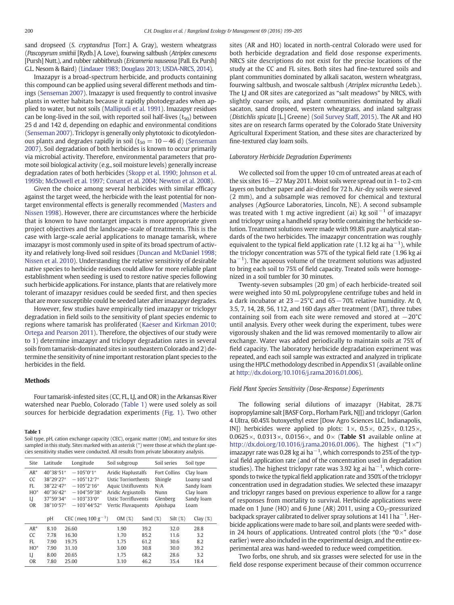sand dropseed (S. cryptandrus [Torr.] A. Gray), western wheatgrass (Pascopyrum smithii [Rydb.] A. Love), fourwing saltbush (Atriplex canescens [Pursh] Nutt.), and rubber rabbitbrush (*Ericameria nauseosa* [Pall. Ex Pursh] G.L. Nesom & Baird) [\(Lindauer 1983; Douglass 2013; USDA-NRCS, 2014](#page-5-0)).

Imazapyr is a broad-spectrum herbicide, and products containing this compound can be applied using several different methods and timings ([Senseman 2007\)](#page-6-0). Imazapyr is used frequently to control invasive plants in wetter habitats because it rapidly photodegrades when applied to water, but not soils ([Mallipudi et al. 1991\)](#page-5-0). Imazapyr residues can be long-lived in the soil, with reported soil half-lives  $(t_{50})$  between 25 d and 142 d, depending on edaphic and environmental conditions ([Senseman 2007](#page-6-0)). Triclopyr is generally only phytotoxic to dicotyledonous plants and degrades rapidly in soil ( $t_{50} = 10 - 46$  d) [\(Senseman](#page-6-0) [2007](#page-6-0)). Soil degradation of both herbicides is known to occur primarily via microbial activity. Therefore, environmental parameters that promote soil biological activity (e.g., soil moisture levels) generally increase degradation rates of both herbicides [\(Skopp et al. 1990; Johnson et al.](#page-6-0) [1995b; McDowell et al. 1997; Conant et al. 2004; Newton et al. 2008](#page-6-0)).

Given the choice among several herbicides with similar efficacy against the target weed, the herbicide with the least potential for nontarget environmental effects is generally recommended [\(Masters and](#page-5-0) [Nissen 1998\)](#page-5-0). However, there are circumstances where the herbicide that is known to have nontarget impacts is more appropriate given project objectives and the landscape-scale of treatments. This is the case with large-scale aerial applications to manage tamarisk, where imazapyr is most commonly used in spite of its broad spectrum of activity and relatively long-lived soil residues [\(Duncan and McDaniel 1998;](#page-5-0) [Nissen et al. 2010](#page-5-0)). Understanding the relative sensitivity of desirable native species to herbicide residues could allow for more reliable plant establishment when seeding is used to restore native species following such herbicide applications. For instance, plants that are relatively more tolerant of imazapyr residues could be seeded first, and then species that are more susceptible could be seeded later after imazapyr degrades.

However, few studies have empirically tied imazapyr or triclopyr degradation in field soils to the sensitivity of plant species endemic to regions where tamarisk has proliferated ([Kaeser and Kirkman 2010;](#page-5-0) [Ortega and Pearson 2011](#page-5-0)). Therefore, the objectives of our study were to 1) determine imazapyr and triclopyr degradation rates in several soils from tamarisk-dominated sites in southeastern Colorado and 2) determine the sensitivity of nine important restoration plant species to the herbicides in the field.

#### **Methods**

Four tamarisk-infested sites (CC, FL, LJ, and OR) in the Arkansas River watershed near Pueblo, Colorado (Table 1) were used solely as soil sources for herbicide degradation experiments [\(Fig. 1\)](#page-2-0). Two other

#### Table 1

Soil type, pH, cation exchange capacity (CEC), organic matter (OM), and texture for sites sampled in this study. Sites marked with an asterisk (\*) were those at which the plant species sensitivity studies were conducted. All results from private laboratory analysis.

| Site                                                  | Latitude                                                                   | Longitude                                                                                                                             | Soil subgroup                                                                                                                                    |             | Soil series                                                           | Soil type                                                                |
|-------------------------------------------------------|----------------------------------------------------------------------------|---------------------------------------------------------------------------------------------------------------------------------------|--------------------------------------------------------------------------------------------------------------------------------------------------|-------------|-----------------------------------------------------------------------|--------------------------------------------------------------------------|
| $AR^*$<br>CC<br>FI.<br>$HO^*$<br>LJ<br>0 <sub>R</sub> | 40°38'51"<br>38°29'27"<br>38°22'47"<br>40°36'42"<br>37°59′34″<br>38°10'57" | $-105^{\circ}0'1''$<br>$-105^{\circ}12'7''$<br>$-105^{\circ}2'16''$<br>$-104^{\circ}59'38''$<br>$-103°33'0"$<br>$-103^{\circ}44'52''$ | Aridic Haplustalfs<br><b>Ustic Torriorthents</b><br>Aquic Ustifluvents<br>Aridic Argiustolls<br><b>Ustic Torrifluvents</b><br>Vertic Fluvaquents |             | <b>Fort Collins</b><br>Shingle<br>N/A<br>Nunn<br>Glenberg<br>Apishapa | Clay loam<br>Loamy sand<br>Sandy loam<br>Clay loam<br>Sandy loam<br>Loam |
|                                                       | pH                                                                         | CEC (meg $100 g^{-1}$ )                                                                                                               | OM(%)                                                                                                                                            | Sand $(\%)$ | $Silt$ $(\%)$                                                         | Clay $(\%)$                                                              |
| $AR^*$                                                | 8.10                                                                       | 26.60                                                                                                                                 | 1.90                                                                                                                                             | 39.2        | 32.0                                                                  | 28.8                                                                     |
| CC                                                    | 7.78                                                                       | 16.30                                                                                                                                 | 1.70                                                                                                                                             | 85.2        | 11.6                                                                  | 3.2                                                                      |
| FI.                                                   | 7.90                                                                       | 19.75                                                                                                                                 | 1.75                                                                                                                                             | 61.2        | 30.6                                                                  | 8.2                                                                      |
| $HO^*$                                                | 7.90                                                                       | 31.10                                                                                                                                 | 3.00                                                                                                                                             | 30.8        | 30.0                                                                  | 39.2                                                                     |
| LJ                                                    | 8.00                                                                       | 20.65                                                                                                                                 | 1.75                                                                                                                                             | 68.2        | 28.6                                                                  | 3.2                                                                      |
| OR                                                    | 7.80                                                                       | 25.00                                                                                                                                 | 3.10                                                                                                                                             | 46.2        | 35.4                                                                  | 18.4                                                                     |

sites (AR and HO) located in north-central Colorado were used for both herbicide degradation and field dose response experiments. NRCS site descriptions do not exist for the precise locations of the study at the CC and FL sites. Both sites had fine-textured soils and plant communities dominated by alkali sacaton, western wheatgrass, fourwing saltbush, and twoscale saltbush (Atriplex micrantha Ledeb.). The LJ and OR sites are categorized as "salt meadows" by NRCS, with slightly coarser soils, and plant communities dominated by alkali sacaton, sand dropseed, western wheatgrass, and inland saltgrass (Distichlis spicata [L.] Greene) ([Soil Survey Staff, 2015\)](#page-6-0). The AR and HO sites are on research farms operated by the Colorado State University Agricultural Experiment Station, and these sites are characterized by fine-textured clay loam soils.

#### Laboratory Herbicide Degradation Experiments

We collected soil from the upper 10 cm of untreated areas at each of the six sites 16−27 May 2011. Moist soils were spread out in 1- to 2-cm layers on butcher paper and air-dried for 72 h. Air-dry soils were sieved (2 mm), and a subsample was removed for chemical and textural analyses (AgSource Laboratories, Lincoln, NE). A second subsample was treated with 1 mg active ingredient (ai) kg soil<sup>-1</sup> of imazapyr and triclopyr using a handheld spray bottle containing the herbicide solution. Treatment solutions were made with 99.8% pure analytical standards of the two herbicides. The imazapyr concentration was roughly equivalent to the typical field application rate (1.12 kg ai ha<sup>-1</sup>), while the triclopyr concentration was 57% of the typical field rate (1.96 kg ai ha<sup>-1</sup>). The aqueous volume of the treatment solutions was adjusted to bring each soil to 75% of field capacity. Treated soils were homogenized in a soil tumbler for 30 minutes.

Twenty-seven subsamples (20 gm) of each herbicide-treated soil were weighed into 50 mL polypropylene centrifuge tubes and held in a dark incubator at 23−25°C and 65−70% relative humidity. At 0, 3.5, 7, 14, 28, 56, 112, and 160 days after treatment (DAT), three tubes containing soil from each site were removed and stored at −20°C until analysis. Every other week during the experiment, tubes were vigorously shaken and the lid was removed momentarily to allow air exchange. Water was added periodically to maintain soils at 75% of field capacity. The laboratory herbicide degradation experiment was repeated, and each soil sample was extracted and analyzed in triplicate using the HPLC methodology described in Appendix S1 (available online at [http://dx.doi.org/10.1016/j.rama.2016.01.006](http://dx.doi.org/)).

#### Field Plant Species Sensitivity (Dose-Response) Experiments

The following serial dilutions of imazapyr (Habitat, 28.7% isopropylamine salt [BASF Corp., Florham Park, NJ]) and triclopyr (Garlon 4 Ultra, 60.45% butoxyethyl ester [Dow Agro Sciences LLC, Indianapolis, IN]) herbicides were applied to plots:  $1 \times$ ,  $0.5 \times$ ,  $0.25 \times$ ,  $0.125 \times$ , 0.0625 $\times$ , 0.0313 $\times$ , 0.0156 $\times$ , and 0 $\times$  (**Table S1** available online at [http://dx.doi.org/10.1016/j.rama.2016.01.006](http://dx.doi.org/)). The highest  $("1×")$ imazapyr rate was 0.28 kg ai ha $^{-1}$ , which corresponds to 25% of the typical field application rate (and of the concentration used in degradation studies). The highest triclopyr rate was 3.92 kg ai ha<sup>-1</sup>, which corresponds to twice the typical field application rate and 350% of the triclopyr concentration used in degradation studies. We selected these imazapyr and triclopyr ranges based on previous experience to allow for a range of responses from mortality to survival. Herbicide applications were made on 1 June (HO) and 6 June (AR) 2011, using a  $CO<sub>2</sub>$ -pressurized backpack sprayer calibrated to deliver spray solutions at 141 l ha $^{\rm -1}.$  Herbicide applications were made to bare soil, and plants were seeded within 24 hours of applications. Untreated control plots (the " $0 \times$ " dose earlier) were also included in the experimental design, and the entire experimental area was hand-weeded to reduce weed competition.

Two forbs, one shrub, and six grasses were selected for use in the field dose response experiment because of their common occurrence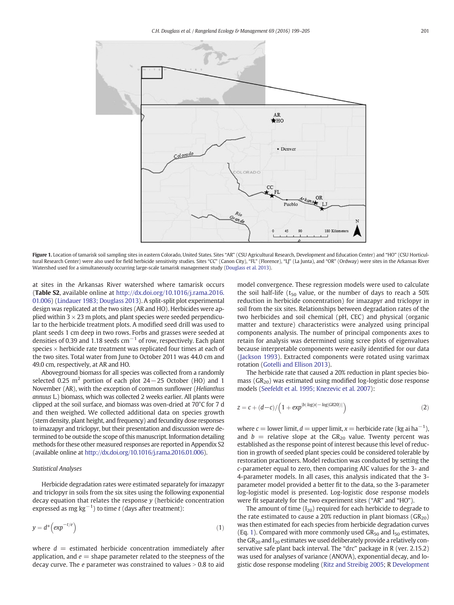<span id="page-2-0"></span>

Figure 1. Location of tamarisk soil sampling sites in eastern Colorado, United States. Sites "AR" (CSU Agricultural Research, Development and Education Center) and "HO" (CSU Horticultural Research Center) were also used for field herbicide sensitivity studies. Sites "CC" (Canon City), "FL" (Florence), "LJ" (La Junta), and "OR" (Ordway) were sites in the Arkansas River Watershed used for a simultaneously occurring large-scale tamarisk management study ([Douglass et al. 2013\)](#page-5-0).

at sites in the Arkansas River watershed where tamarisk occurs (Table S2, available online at [http://dx.doi.org/10.1016/j.rama.2016.](http://dx.doi.org/) [01.006\)](http://dx.doi.org/) [\(Lindauer 1983; Douglass 2013](#page-5-0)). A split-split plot experimental design was replicated at the two sites (AR and HO). Herbicides were applied within  $3 \times 23$  m plots, and plant species were seeded perpendicular to the herbicide treatment plots. A modified seed drill was used to plant seeds 1 cm deep in two rows. Forbs and grasses were seeded at densities of 0.39 and 1.18 seeds  $cm^{-1}$  of row, respectively. Each plant species × herbicide rate treatment was replicated four times at each of the two sites. Total water from June to October 2011 was 44.0 cm and 49.0 cm, respectively, at AR and HO.

Aboveground biomass for all species was collected from a randomly selected 0.25 m<sup>2</sup> portion of each plot  $24-25$  October (HO) and 1 November (AR), with the exception of common sunflower (Helianthus annuus L.) biomass, which was collected 2 weeks earlier. All plants were clipped at the soil surface, and biomass was oven-dried at 70°C for 7 d and then weighed. We collected additional data on species growth (stem density, plant height, and frequency) and fecundity dose responses to imazapyr and triclopyr, but their presentation and discussion were determined to be outside the scope of this manuscript. Information detailing methods for these other measured responses are reported in Appendix S2 (available online at [http://dx.doi.org/10.1016/j.rama.2016.01.006](http://dx.doi.org/)).

#### Statistical Analyses

Herbicide degradation rates were estimated separately for imazapyr and triclopyr in soils from the six sites using the following exponential decay equation that relates the response  $y$  (herbicide concentration expressed as mg kg $^{-1}$ ) to time t (days after treatment):

$$
y = d^*\left(\exp^{-t/e}\right) \tag{1}
$$

where  $d =$  estimated herbicide concentration immediately after application, and  $e =$  shape parameter related to the steepness of the decay curve. The  $e$  parameter was constrained to values  $> 0.8$  to aid model convergence. These regression models were used to calculate the soil half-life ( $t_{50}$  value, or the number of days to reach a 50% reduction in herbicide concentration) for imazapyr and triclopyr in soil from the six sites. Relationships between degradation rates of the two herbicides and soil chemical (pH, CEC) and physical (organic matter and texture) characteristics were analyzed using principal components analysis. The number of principal components axes to retain for analysis was determined using scree plots of eigenvalues because interpretable components were easily identified for our data [\(Jackson 1993](#page-5-0)). Extracted components were rotated using varimax rotation [\(Gotelli and Ellison 2013\)](#page-5-0).

The herbicide rate that caused a 20% reduction in plant species biomass ( $GR<sub>20</sub>$ ) was estimated using modified log-logistic dose response models [\(Seefeldt et al. 1995; Knezevic et al. 2007\)](#page-6-0):

$$
z = c + (d-c)/\left(1 + exp^{[b(\log[x] - \log[GR20])]}\right)
$$
 (2)

where  $c =$  lower limit,  $d =$  upper limit,  $x =$  herbicide rate (kg ai ha<sup>-1</sup>), and  $b =$  relative slope at the GR<sub>20</sub> value. Twenty percent was established as the response point of interest because this level of reduction in growth of seeded plant species could be considered tolerable by restoration practioners. Model reduction was conducted by setting the c-parameter equal to zero, then comparing AIC values for the 3- and 4-parameter models. In all cases, this analysis indicated that the 3 parameter model provided a better fit to the data, so the 3-parameter log-logistic model is presented. Log-logistic dose response models were fit separately for the two experiment sites ("AR" and "HO").

The amount of time  $(I_{20})$  required for each herbicide to degrade to the rate estimated to cause a 20% reduction in plant biomass  $(GR_{20})$ was then estimated for each species from herbicide degradation curves (Eq. 1). Compared with more commonly used  $GR_{50}$  and  $I_{50}$  estimates, the  $GR_{20}$  and  $I_{20}$  estimates we used deliberately provide a relatively conservative safe plant back interval. The "drc" package in R (ver. 2.15.2) was used for analyses of variance (ANOVA), exponential decay, and logistic dose response modeling [\(Ritz and Streibig 2005;](#page-6-0) R [Development](#page-5-0)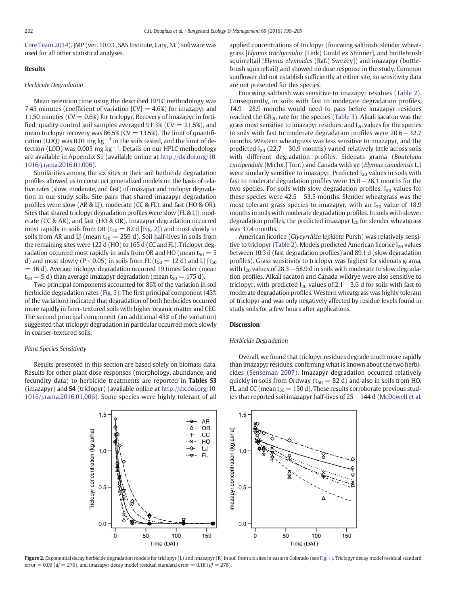<span id="page-3-0"></span>[Core Team 2014](#page-5-0)). JMP (ver. 10.0.1, SAS Institute, Cary, NC) software was used for all other statistical analyses.

## Results

## Herbicide Degradation

Mean retention time using the described HPLC methodology was 7.45 minutes (coefficient of variation  $\text{[CV]} = 4.6\%$ ) for imazapyr and 11.50 minutes ( $CV = 0.6\%$ ) for triclopyr. Recovery of imazapyr in fortified, quality control soil samples averaged  $91.3\%$  (CV = 21.5%), and mean triclopyr recovery was  $86.5\%$  (CV = 13.5%). The limit of quantification (LOQ) was 0.01 mg kg<sup>-1</sup> in the soils tested, and the limit of detection (LOD) was 0.005  $mg kg^{-1}$ . Details on our HPLC methodology are available in Appendix S1 (available online at [http://dx.doi.org/10.](http://dx.doi.org/) [1016/j.rama.2016.01.006\)](http://dx.doi.org/).

Similarities among the six sites in their soil herbicide degradation profiles allowed us to construct generalized models on the basis of relative rates (slow, moderate, and fast) of imazapyr and triclopyr degradation in our study soils. Site pairs that shared imazapyr degradation profiles were slow (AR & LJ), moderate (CC & FL), and fast (HO & OR). Sites that shared triclopyr degradation profiles were slow (FL & LJ), moderate (CC & AR), and fast (HO & OR). Imazapyr degradation occurred most rapidly in soils from OR ( $t_{50} = 82$  d [Fig. 2]) and most slowly in soils from AR and LJ (mean  $t_{50} = 259$  d). Soil half-lives in soils from the remaining sites were 122 d (HO) to 165 d (CC and FL). Triclopyr degradation occurred most rapidly in soils from OR and HO (mean  $t_{50} = 5$ ) d) and most slowly ( $P < 0.05$ ) in soils from FL ( $t_{50} = 12$  d) and LJ ( $t_{50}$  $= 16$  d). Average triclopyr degradation occurred 19 times faster (mean  $t_{50} = 9$  d) than average imazapyr degradation (mean  $t_{50} = 175$  d).

Two principal components accounted for 86% of the variation in soil herbicide degradation rates ([Fig. 3\)](#page-4-0). The first principal component (43% of the variation) indicated that degradation of both herbicides occurred more rapidly in finer-textured soils with higher organic matter and CEC. The second principal component (an additional 43% of the variation) suggested that triclopyr degradation in particular occurred more slowly in coarser-textured soils.

# Plant Species Sensitivity

Results presented in this section are based solely on biomass data. Results for other plant dose responses (morphology, abundance, and fecundity data) to herbicide treatments are reported in Tables S3 (imazapyr) and S4 (triclopyr) (available online at [http://dx.doi.org/10.](http://dx.doi.org/) [1016/j.rama.2016.01.006](http://dx.doi.org/)). Some species were highly tolerant of all

applied concentrations of triclopyr (fourwing saltbush, slender wheatgrass [Elymus trachycaulus (Link) Gould ex Shinner], and bottlebrush squirreltail [Elymus elymoides (Raf.) Swezey]) and imazapyr (bottlebrush squirreltail) and showed no dose response in the study. Common sunflower did not establish sufficiently at either site, so sensitivity data are not presented for this species.

Fourwing saltbush was sensitive to imazapyr residues [\(Table 2](#page-4-0)). Consequently, in soils with fast to moderate degradation profiles, 14.9−28.9 months would need to pass before imazapyr residues reached the  $GR_{20}$  rate for the species [\(Table 3](#page-4-0)). Alkali sacaton was the grass most sensitive to imazapyr residues, and  $I_{20}$  values for the species in soils with fast to moderate degradation profiles were 20.6−32.7 months. Western wheatgrass was less sensitive to imazapyr, and the predicted  $I_{20}$  (22.7 – 30.9 months) varied relatively little across soils with different degradation profiles. Sideoats grama (Bouteloua curtipendula [Michx.] Torr.) and Canada wildrye (Elymus canadensis L.) were similarly sensitive to imazapyr. Predicted  $I_{20}$  values in soils with fast to moderate degradation profiles were 15.0−28.1 months for the two species. For soils with slow degradation profiles,  $I_{20}$  values for these species were 42.5−53.5 months. Slender wheatgrass was the most tolerant grass species to imazapyr, with an  $I_{20}$  value of 18.9 months in soils with moderate degradation profiles. In soils with slower degradation profiles, the predicted imazapyr  $I_{20}$  for slender wheatgrass was 37.4 months.

American licorice (Glycyrrhiza lepidota Pursh) was relatively sensi-tive to triclopyr [\(Table 2](#page-4-0)). Models predicted American licorice  $I_{20}$  values between 10.3 d (fast degradation profiles) and 89.1 d (slow degradation profiles). Grass sensitivity to triclopyr was highest for sideoats grama, with I<sub>20</sub> values of 28.3  $-58.9$  d in soils with moderate to slow degradation profiles. Alkali sacaton and Canada wildrye were also sensitive to triclopyr, with predicted  $I_{20}$  values of 2.1 – 3.6 d for soils with fast to moderate degradation profiles. Western wheatgrass was highly tolerant of triclopyr and was only negatively affected by residue levels found in study soils for a few hours after applications.

# **Discussion**

## Herbicide Degradation

Overall, we found that triclopyr residues degrade much more rapidly than imazapyr residues, confirming what is known about the two herbicides [\(Senseman 2007\)](#page-6-0). Imazapyr degradation occurred relatively quickly in soils from Ordway ( $t_{50} = 82$  d) and also in soils from HO, FL, and CC (mean  $t_{50} = 150$  d). These results corroborate previous studies that reported soil imazapyr half-lives of 25−144 d ([McDowell et al.](#page-5-0)



Figure 2. Exponential decay herbicide degradation models for triclopyr (L) and imazapyr (R) in soil from six sites in eastern Colorado (see [Fig. 1](#page-2-0)). Triclopyr decay model residual standard error  $= 0.09$  (df  $= 276$ ), and imazapyr decay model residual standard error  $= 0.18$  (df  $= 276$ ).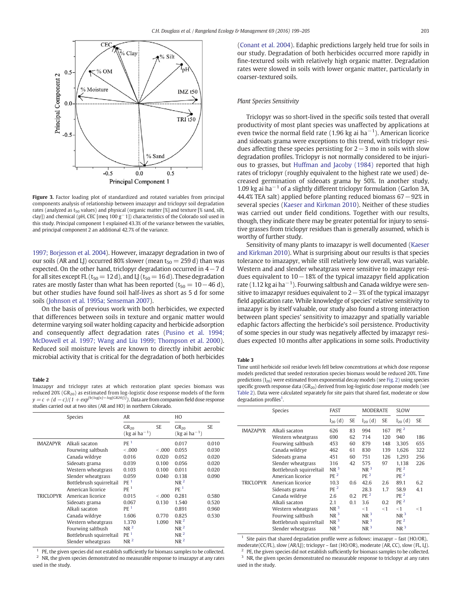<span id="page-4-0"></span>

Figure 3. Factor loading plot of standardized and rotated variables from principal components analysis of relationship between imazapyr and triclopyr soil degradation rates (analyzed as  $t_{50}$  values) and physical (organic matter [%] and texture [% sand, silt, clay]) and chemical (pH, CEC [meq 100 g−1]) characteristics of the Colorado soil used in this study. Principal component 1 explained 43.3% of the variance between the variables, and principal component 2 an additional 42.7% of the variance.

[1997; Borjesson et al. 2004](#page-5-0)). However, imazapyr degradation in two of our soils (AR and LJ) occurred 80% slower (mean  $t_{50} = 259$  d) than was expected. On the other hand, triclopyr degradation occurred in 4−7 d for all sites except FL ( $t_{50}$  = 12 d), and LJ ( $t_{50}$  = 16 d). These degradation rates are mostly faster than what has been reported ( $t_{50} = 10 - 46$  d), but other studies have found soil half-lives as short as 5 d for some soils ([Johnson et al. 1995a; Senseman 2007\)](#page-5-0).

On the basis of previous work with both herbicides, we expected that differences between soils in texture and organic matter would determine varying soil water holding capacity and herbicide adsorption and consequently affect degradation rates [\(Pusino et al. 1994;](#page-5-0) [McDowell et al. 1997; Wang and Liu 1999; Thompson et al. 2000](#page-5-0)). Reduced soil moisture levels are known to directly inhibit aerobic microbial activity that is critical for the degradation of both herbicides

#### Table 2

Imazapyr and triclopyr rates at which restoration plant species biomass was reduced 20% ( $GR_{20}$ ) as estimated from log-logistic dose response models of the form  $y = c + (d - c)/(1 + exp^{[b(log[x] - log[GR20])]})$ . Data are from companion field dose response studies carried out at two sites (AR and HO) in northern Colorado.

|                  | Species                  | AR                                       |         | HO                              |       |  |
|------------------|--------------------------|------------------------------------------|---------|---------------------------------|-------|--|
|                  |                          | $GR_{20}$<br>$(kg$ ai ha <sup>-1</sup> ) | SE.     | $GR_{20}$<br>$(kg a i ha^{-1})$ | SE.   |  |
| <b>IMAZAPYR</b>  | Alkali sacaton           | PF <sup>1</sup>                          |         | 0.017                           | 0.010 |  |
|                  | Fourwing saltbush        | < 0.001                                  | &0.001  | 0.055                           | 0.030 |  |
|                  | Canada wildrye           | 0.016                                    | 0.020   | 0.052                           | 0.020 |  |
|                  | Sideoats grama           | 0.039                                    | 0.100   | 0.056                           | 0.020 |  |
|                  | Western wheatgrass       | 0.103                                    | 0.100   | 0.011                           | 0.020 |  |
|                  | Slender wheatgrass       | 0.059                                    | 0.040   | 0.138                           | 0.090 |  |
|                  | Bottlebrush squirreltail | PE <sup>1</sup>                          |         | NR <sup>2</sup>                 |       |  |
|                  | American licorice        | PF <sup>1</sup>                          |         | PF <sup>1</sup>                 |       |  |
| <b>TRICLOPYR</b> | American licorice        | 0.015                                    | < 0.001 | 0.281                           | 0.580 |  |
|                  | Sideoats grama           | 0.067                                    | 0.130   | 1.540                           | 0.520 |  |
|                  | Alkali sacaton           | PF <sup>1</sup>                          |         | 0.891                           | 0.960 |  |
|                  | Canada wildrye           | 1.606                                    | 0.770   | 0.825                           | 0.530 |  |
|                  | Western wheatgrass       | 1.370                                    | 1.090   | NR <sup>2</sup>                 |       |  |
|                  | Fourwing saltbush        | NR <sup>2</sup>                          |         | NR <sup>2</sup>                 |       |  |
|                  | Bottlebrush squirreltail | PE <sup>1</sup>                          |         | NR <sup>2</sup>                 |       |  |
|                  | Slender wheatgrass       | NR <sup>2</sup>                          |         | NR <sup>2</sup>                 |       |  |

 $1$  PE, the given species did not establish sufficiently for biomass samples to be collected. <sup>2</sup> NR, the given species demonstrated no measurable response to imazapyr at any rates used in the study.

[\(Conant et al. 2004\)](#page-5-0). Edaphic predictions largely held true for soils in our study. Degradation of both herbicides occurred more rapidly in fine-textured soils with relatively high organic matter. Degradation rates were slowed in soils with lower organic matter, particularly in coarser-textured soils.

# Plant Species Sensitivity

Triclopyr was so short-lived in the specific soils tested that overall productivity of most plant species was unaffected by applications at even twice the normal field rate (1.96 kg ai ha<sup>-1</sup>). American licorice and sideoats grama were exceptions to this trend, with triclopyr residues affecting these species persisting for 2−3 mo in soils with slow degradation profiles. Triclopyr is not normally considered to be injurious to grasses, but [Huffman and Jacoby \(1984\)](#page-5-0) reported that high rates of triclopyr (roughly equivalent to the highest rate we used) decreased germination of sideoats grama by 50%. In another study, 1.09 kg ai ha−<sup>1</sup> of a slightly different triclopyr formulation (Garlon 3A, 44.4% TEA salt) applied before planting reduced biomass 67−92% in several species [\(Kaeser and Kirkman 2010](#page-5-0)). Neither of these studies was carried out under field conditions. Together with our results, though, they indicate there may be greater potential for injury to sensitive grasses from triclopyr residues than is generally assumed, which is worthy of further study.

Sensitivity of many plants to imazapyr is well documented ([Kaeser](#page-5-0) [and Kirkman 2010](#page-5-0)). What is surprising about our results is that species tolerance to imazapyr, while still relatively low overall, was variable. Western and and slender wheatgrass were sensitive to imazapyr residues equivalent to 10−18% of the typical imazapyr field application rate (1.12 kg ai ha $^{-1}$ ). Fourwing saltbush and Canada wildrye were sensitive to imazapyr residues equivalent to 2−3% of the typical imazapyr field application rate. While knowledge of species' relative sensitivity to imazapyr is by itself valuable, our study also found a strong interaction between plant species' sensitivity to imazapyr and spatially variable edaphic factors affecting the herbicide's soil persistence. Productivity of some species in our study was negatively affected by imazapyr residues expected 10 months after applications in some soils. Productivity

#### Table 3

Time until herbicide soil residue levels fell below concentrations at which dose response models predicted that seeded restoration species biomass would be reduced 20%. Time predictions  $(I_{20})$  were estimated from exponential decay models (see [Fig. 2](#page-3-0)) using species specific growth response data ( $GR_{20}$ ) derived from log-logistic dose response models (see Table 2). Data were calculated separately for site pairs that shared fast, moderate or slow degradation profiles<sup>1</sup>.

|                  | <b>Species</b>                                                                                                                                                                            | FAST                                                                                                                                 |                                  | MODERATE                                                                                                         |                                       | <b>SLOW</b>                                                                                                                             |                                 |
|------------------|-------------------------------------------------------------------------------------------------------------------------------------------------------------------------------------------|--------------------------------------------------------------------------------------------------------------------------------------|----------------------------------|------------------------------------------------------------------------------------------------------------------|---------------------------------------|-----------------------------------------------------------------------------------------------------------------------------------------|---------------------------------|
|                  |                                                                                                                                                                                           | $I_{20}$ (d)                                                                                                                         | SE                               | $I_{20}$ (d)                                                                                                     | <b>SE</b>                             | $I_{20}$ (d)                                                                                                                            | <b>SE</b>                       |
| <b>IMAZAPYR</b>  | Alkali sacaton<br>Western wheatgrass<br>Fourwing saltbush<br>Canada wildrye<br>Sideoats grama<br>Slender wheatgrass<br>Bottlebrush squirreltail                                           | 626<br>690<br>453<br>462<br>451<br>316<br>NR <sup>3</sup>                                                                            | 83<br>62<br>60<br>61<br>60<br>42 | 994<br>714<br>879<br>830<br>751<br>575<br>$NR^3$                                                                 | 167<br>120<br>148<br>139<br>126<br>97 | PE <sup>2</sup><br>940<br>3,305<br>1.626<br>1.293<br>1.138<br>PE <sup>2</sup>                                                           | 186<br>655<br>322<br>256<br>226 |
| <b>TRICLOPYR</b> | American licorice<br>American licorice<br>Sideoats grama<br>Canada wildrye<br>Alkali sacaton<br>Western wheatgrass<br>Fourwing saltbush<br>Bottlebrush squirreltail<br>Slender wheatgrass | PF <sup>2</sup><br>10.3<br>PF <sup>2</sup><br>2.6<br>2.1<br>NR <sup>3</sup><br>NR <sup>3</sup><br>NR <sup>3</sup><br>NR <sup>3</sup> | 0.6<br>0.2<br>0.1                | PE <sup>2</sup><br>42.6<br>28.3<br>PE <sup>2</sup><br>3.6<br>< 1<br>$NR^3$<br>NR <sup>3</sup><br>NR <sup>3</sup> | 2.6<br>1.7<br>0.2<br>$<$ 1            | PE <sup>2</sup><br>89.1<br>58.9<br>PE <sup>2</sup><br>PE <sup>2</sup><br>$<$ 1<br>NR <sup>3</sup><br>PE <sup>2</sup><br>NR <sup>3</sup> | 6.2<br>4.1<br>$<$ 1             |

<sup>1</sup> Site pairs that shared degradation profile were as follows: imazapyr – fast (HO/OR), moderate(CC/FL), slow (AR/LJ); triclopyr – fast (HO/OR), moderate (AR, CC), slow (FL, LJ).

<sup>2</sup> PE, the given species did not establish sufficiently for biomass samples to be collected. <sup>3</sup> NR, the given species demonstrated no measurable response to triclopyr at any rates used in the study.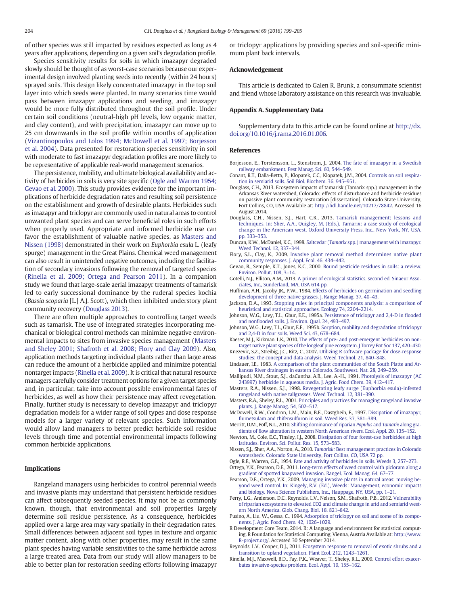<span id="page-5-0"></span>of other species was still impacted by residues expected as long as 4 years after applications, depending on a given soil's degradation profile.

Species sensitivity results for soils in which imazapyr degraded slowly should be thought of as worst-case scenarios because our experimental design involved planting seeds into recently (within 24 hours) sprayed soils. This design likely concentrated imazapyr in the top soil layer into which seeds were planted. In many scenarios time would pass between imazapyr applications and seeding, and imazapyr would be more fully distributed throughout the soil profile. Under certain soil conditions (neutral-high pH levels, low organic matter, and clay content), and with precipitation, imazapyr can move up to 25 cm downwards in the soil profile within months of application ([Vizantinopoulos and Lolos 1994; McDowell et al. 1997; Borjesson](#page-6-0) [et al. 2004\)](#page-6-0). Data presented for restoration species sensitivity in soil with moderate to fast imazapyr degradation profiles are more likely to be representative of applicable real-world management scenarios.

The persistence, mobility, and ultimate biological availability and activity of herbicides in soils is very site specific (Ogle and Warren 1954; Gevao et al. 2000). This study provides evidence for the important implications of herbicide degradation rates and resulting soil persistence on the establishment and growth of desirable plants. Herbicides such as imazapyr and triclopyr are commonly used in natural areas to control unwanted plant species and can serve beneficial roles in such efforts when properly used. Appropriate and informed herbicide use can favor the establishment of valuable native species, as Masters and Nissen (1998) demonstrated in their work on Euphorbia esula L. (leafy spurge) management in the Great Plains. Chemical weed management can also result in unintended negative outcomes, including the facilitation of secondary invasions following the removal of targeted species (Rinella et al. 2009; Ortega and Pearson 2011). In a companion study we found that large-scale aerial imazapyr treatments of tamarisk led to early successional dominance by the ruderal species kochia (Bassia scoparia [L.] A.J. Scott), which then inhibited understory plant community recovery (Douglass 2013).

There are often multiple approaches to controlling target weeds such as tamarisk. The use of integrated strategies incorporating mechanical or biological control methods can minimize negative environmental impacts to sites from invasive species management (Masters and Sheley 2001; Shafroth et al. 2008; Flory and Clay 2009). Also, application methods targeting individual plants rather than large areas can reduce the amount of a herbicide applied and minimize potential nontarget impacts (Rinella et al. 2009). It is critical that natural resource managers carefully consider treatment options for a given target species and, in particular, take into account possible environmental fates of herbicides, as well as how their persistence may affect revegetation. Finally, further study is necessary to develop imazapyr and triclopyr degradation models for a wider range of soil types and dose response models for a larger variety of relevant species. Such information would allow land managers to better predict herbicide soil residue levels through time and potential environmental impacts following common herbicide applications.

#### Implications

Rangeland managers using herbicides to control perennial weeds and invasive plants may understand that persistent herbicide residues can affect subsequently seeded species. It may not be as commonly known, though, that environmental and soil properties largely determine soil residue persistence. As a consequence, herbicides applied over a large area may vary spatially in their degradation rates. Small differences between adjacent soil types in texture and organic matter content, along with other properties, may result in the same plant species having variable sensitivities to the same herbicide across a large treated area. Data from our study will allow managers to be able to better plan for restoration seeding efforts following imazapyr or triclopyr applications by providing species and soil-specific minimum plant back intervals.

# Acknowledgement

This article is dedicated to Galen R. Brunk, a consummate scientist and friend whose laboratory assistance on this research was invaluable.

#### Appendix A. Supplementary Data

Supplementary data to this article can be found online at [http://dx.](http://dx.doi.org/10.1016/j.rama.2016.01.006) [doi.org/10.1016/j.rama.2016.01.006.](http://dx.doi.org/10.1016/j.rama.2016.01.006)

### References

- Borjesson, E., Torstensson, L., Stenstrom, J., 2004. [The fate of imazapyr in a Swedish](http://refhub.elsevier.com/S1550-7424(16)00008-7/rf0005) [railway embankment. Pest Manag. Sci. 60, 544](http://refhub.elsevier.com/S1550-7424(16)00008-7/rf0005)–549.
- Conant, R.T., Dalla-Betta, P., Klopatek, C.C., Klopatek, J.M., 2004. [Controls on soil respira](http://refhub.elsevier.com/S1550-7424(16)00008-7/rf0015)[tion in semiarid soils. Soil Biol. Biochem. 36, 945](http://refhub.elsevier.com/S1550-7424(16)00008-7/rf0015)–951.
- Douglass, C.H., 2013. Ecosystem impacts of tamarisk (Tamarix spp.) management in the Arkansas River watershed, Colorado: effects of disturbance and herbicide residues on passive plant community restoration [dissertation]. Colorado State University, Fort Collins, CO, USA Available at: [http://hdl.handle.net/10217/78842.](http://hdl.handle.net/10217/78842) Accessed 16 August 2014.
- Douglass, C.H., Nissen, S.J., Hart, C.R., 2013. [Tamarisk management: lessons and](http://refhub.elsevier.com/S1550-7424(16)00008-7/rf0025) [techniques. In: Sher, A.A., Quigley, M. \(Eds.\), Tamarix: a case study of ecological](http://refhub.elsevier.com/S1550-7424(16)00008-7/rf0025) [change in the American west. Oxford University Press, Inc., New York, NY, USA,](http://refhub.elsevier.com/S1550-7424(16)00008-7/rf0025) [pp. 333](http://refhub.elsevier.com/S1550-7424(16)00008-7/rf0025)–353.
- Duncan, K.W., McDaniel, K.C., 1998. Saltcedar (Tamarix [spp.\) management with imazapyr.](http://refhub.elsevier.com/S1550-7424(16)00008-7/rf0030) [Weed Technol. 12, 337](http://refhub.elsevier.com/S1550-7424(16)00008-7/rf0030)–344.
- Flory, S.L., Clay, K., 2009. [Invasive plant removal method determines native plant](http://refhub.elsevier.com/S1550-7424(16)00008-7/rf0035) [community responses. J. Appl. Ecol. 46, 434](http://refhub.elsevier.com/S1550-7424(16)00008-7/rf0035)–442.
- Gevao, B., Semple, K.T., Jones, K.C., 2000. [Bound pesticide residues in soils: a review.](http://refhub.elsevier.com/S1550-7424(16)00008-7/rf0040) [Environ. Pollut. 108, 3](http://refhub.elsevier.com/S1550-7424(16)00008-7/rf0040)–14.
- Gotelli, N.J., Ellison, A.M., 2013. [A primer of ecological statistics. second ed. Sinaeur Asso](http://refhub.elsevier.com/S1550-7424(16)00008-7/rf0045)[ciates, Inc., Sunderland, MA, USA 614 pp.](http://refhub.elsevier.com/S1550-7424(16)00008-7/rf0045)
- Huffman, A.H., Jacoby JR., P.W., 1984. [Effects of herbicides on germination and seedling](http://refhub.elsevier.com/S1550-7424(16)00008-7/rf0050) [development of three native grasses. J. Range Manag. 37, 40](http://refhub.elsevier.com/S1550-7424(16)00008-7/rf0050)–43.
- Jackson, D.A., 1993. [Stopping rules in principal components analysis: a comparison of](http://refhub.elsevier.com/S1550-7424(16)00008-7/rf0055) [heuristical and statistical approaches. Ecology 74, 2204](http://refhub.elsevier.com/S1550-7424(16)00008-7/rf0055)–2214.
- Johnson, W.G., Lavy, T.L., Gbur, E.E., 1995a. [Persistence of triclopyr and 2,4-D in](http://refhub.elsevier.com/S1550-7424(16)00008-7/rf0060) flooded and nonfl[ooded soils. J. Environ. Qual. 24, 493](http://refhub.elsevier.com/S1550-7424(16)00008-7/rf0060)–497.
- Johnson, W.G., Lavy, T.L., Gbur, E.E., 1995b. [Sorption, mobility and degradation of triclopyr](http://refhub.elsevier.com/S1550-7424(16)00008-7/rf0065) [and 2,4-D in four soils. Weed Sci. 43, 678](http://refhub.elsevier.com/S1550-7424(16)00008-7/rf0065)–684.

Kaeser, M.J., Kirkman, L.K., 2010. [The effects of pre- and post-emergent herbicides on non](http://refhub.elsevier.com/S1550-7424(16)00008-7/rf0070)[target native plant species of the longleaf pine ecosystem. J Torrey Bot Soc 137, 420](http://refhub.elsevier.com/S1550-7424(16)00008-7/rf0070)–430.

- Knezevic, S.Z., Streibig, J.C., Ritz, C., 2007. [Utilizing R software package for dose-response](http://refhub.elsevier.com/S1550-7424(16)00008-7/rf0075) [studies: the concept and data analysis. Weed Technol. 21, 840](http://refhub.elsevier.com/S1550-7424(16)00008-7/rf0075)–848.
- Lindauer, I.E., 1983. [A comparison of the plant communities of the South Platte and Ar](http://refhub.elsevier.com/S1550-7424(16)00008-7/rf0080)[kansas River drainages in eastern Colorado. Southwest. Nat. 28, 249](http://refhub.elsevier.com/S1550-7424(16)00008-7/rf0080)–259.
- Mallipudi, N.M., Stout, S.J., daCuntha, A.R., Lee, A.-H., 1991. [Photolysis of imazapyr \(AC](http://refhub.elsevier.com/S1550-7424(16)00008-7/rf0085) [243997\) herbicide in aqueous media. J. Agric. Food Chem. 39, 412](http://refhub.elsevier.com/S1550-7424(16)00008-7/rf0085)–417.
- Masters, R.A., Nissen, S.J., 1998. [Revegetating leafy surge \(Euphorbia esula\)-infested](http://refhub.elsevier.com/S1550-7424(16)00008-7/rf0090) [rangeland with native tallgrasses. Weed Technol. 12, 381](http://refhub.elsevier.com/S1550-7424(16)00008-7/rf0090)–390.
- Masters, R.A., Sheley, R.L., 2001. [Principles and practices for managing rangeland invasive](http://refhub.elsevier.com/S1550-7424(16)00008-7/rf0095) [plants. J. Range Manag. 54, 502](http://refhub.elsevier.com/S1550-7424(16)00008-7/rf0095)–517.
- McDowell, R.W., Condron, L.M., Main, B.E., Dastgheib, F., 1997. [Dissipation of imazapyr,](http://refhub.elsevier.com/S1550-7424(16)00008-7/rf0100) fl[umetsulam and thifensulfuron in soil. Weed Res. 37, 381](http://refhub.elsevier.com/S1550-7424(16)00008-7/rf0100)–389.
- Merritt, D.M., Poff, N.L., 2010. [Shifting dominance of riparian](http://refhub.elsevier.com/S1550-7424(16)00008-7/rf0105) Populus and Tamarix along gradients of fl[ow alteration in western North American rivers. Ecol. Appl. 20, 135](http://refhub.elsevier.com/S1550-7424(16)00008-7/rf0105)–152.
- Newton, M., Cole, E.C., Tinsley, I.J., 2008. [Dissipation of four forest-use herbicides at high](http://refhub.elsevier.com/S1550-7424(16)00008-7/rf0110) [latitudes. Environ. Sci. Pollut. Res. 15, 573](http://refhub.elsevier.com/S1550-7424(16)00008-7/rf0110)–583.
- Nissen, S.J., Sher, A.A., Norton, A., 2010. Tamarisk: [Best management practices in Colorado](http://refhub.elsevier.com/S1550-7424(16)00008-7/rf0115) [watersheds. Colorado State University, Fort Collins, CO, USA 72 pp.](http://refhub.elsevier.com/S1550-7424(16)00008-7/rf0115)
- Ogle, R.E., Warren, G.F., 1954. [Fate and activity of herbicides in soils. Weeds 3, 257](http://refhub.elsevier.com/S1550-7424(16)00008-7/rf0120)–273.
- Ortega, Y.K., Pearson, D.E., 2011. [Long-term effects of weed control with picloram along a](http://refhub.elsevier.com/S1550-7424(16)00008-7/rf0125) [gradient of spotted knapweed invasion. Rangel. Ecol. Manag. 64, 67](http://refhub.elsevier.com/S1550-7424(16)00008-7/rf0125)–77.
- Pearson, D.E., Ortega, Y.K., 2009. [Managing invasive plants in natural areas: moving be](http://refhub.elsevier.com/S1550-7424(16)00008-7/rf0130)[yond weed control. In: Kingely, R.V. \(Ed.\), Weeds: Management, economic impacts](http://refhub.elsevier.com/S1550-7424(16)00008-7/rf0130) [and biology. Nova Science Publishers, Inc., Hauppage, NY, USA, pp. 1](http://refhub.elsevier.com/S1550-7424(16)00008-7/rf0130)–21.
- Perry, L.G., Anderson, D.C., Reynolds, L.V., Nelson, S.M., Shafroth, P.B., 2012. [Vulnerability](http://refhub.elsevier.com/S1550-7424(16)00008-7/rf0135) [of riparian ecosystems to elevated CO2 and climate change in arid and semiarid west](http://refhub.elsevier.com/S1550-7424(16)00008-7/rf0135)[ern North America. Glob. Chang. Biol. 18, 821](http://refhub.elsevier.com/S1550-7424(16)00008-7/rf0135)–842.
- Pusino, A., Liu, W., Gessa, C., 1994. [Adsorption of triclopyr on soil and some of its compo](http://refhub.elsevier.com/S1550-7424(16)00008-7/rf0140)[nents. J. Agric. Food Chem. 42, 1026](http://refhub.elsevier.com/S1550-7424(16)00008-7/rf0140)–1029.
- R Development Core Team, 2014. R: A language and environment for statistical computing. R Foundation for Statistical Computing, Vienna, Austria Available at: [http://www.](http://www.R-project.org) [R-project.org](http://www.R-project.org)/. Accessed 30 September 2014.
- Reynolds, L.V., Cooper, D.J., 2011. [Ecosystem response to removal of exotic shrubs and a](http://refhub.elsevier.com/S1550-7424(16)00008-7/rf0150) [transition to upland vegetation. Plant Ecol. 212, 1243](http://refhub.elsevier.com/S1550-7424(16)00008-7/rf0150)–1261.
- Rinella, M.J., Maxwell, B.D., Fay, P.K., Weaver, T., Sheley, R.L., 2009. [Control effort exacer](http://refhub.elsevier.com/S1550-7424(16)00008-7/rf0155)[bates invasive-species problem. Ecol. Appl. 19, 155](http://refhub.elsevier.com/S1550-7424(16)00008-7/rf0155)–162.